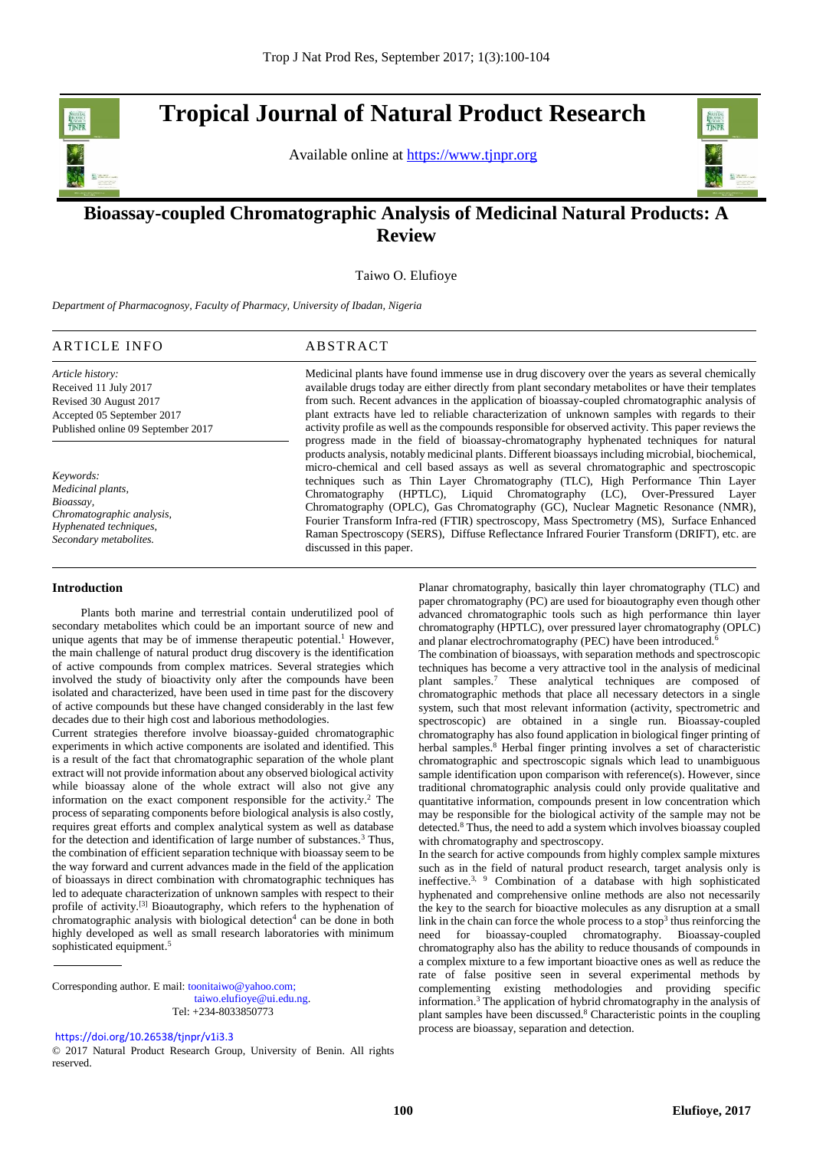**Tropical Journal of Natural Product Research** 

Available online at [https://www.tjnpr.org](https://www.tjnpr.org/)



.

# **Bioassay-coupled Chromatographic Analysis of Medicinal Natural Products: A Review**

Taiwo O. Elufioye

*Department of Pharmacognosy, Faculty of Pharmacy, University of Ibadan, Nigeria*

# ARTICLE INFO ABSTRACT

*Article history:* Received 11 July 2017 Revised 30 August 2017 Accepted 05 September 2017

Published online 09 September 2017

*Keywords: Medicinal plants, Bioassay, Chromatographic analysis, Hyphenated techniques,* 

*Secondary metabolites.*

available drugs today are either directly from plant secondary metabolites or have their templates from such. Recent advances in the application of bioassay-coupled chromatographic analysis of plant extracts have led to reliable characterization of unknown samples with regards to their activity profile as well as the compounds responsible for observed activity. This paper reviews the progress made in the field of bioassay-chromatography hyphenated techniques for natural products analysis, notably medicinal plants. Different bioassays including microbial, biochemical, micro-chemical and cell based assays as well as several chromatographic and spectroscopic techniques such as Thin Layer Chromatography (TLC), High Performance Thin Layer Chromatography (HPTLC), Liquid Chromatography (LC), Over-Pressured Layer Chromatography (OPLC), Gas Chromatography (GC), Nuclear Magnetic Resonance (NMR), Fourier Transform Infra-red (FTIR) spectroscopy, Mass Spectrometry (MS), Surface Enhanced Raman Spectroscopy (SERS), Diffuse Reflectance Infrared Fourier Transform (DRIFT), etc. are discussed in this paper.

Medicinal plants have found immense use in drug discovery over the years as several chemically

# **Introduction**

 Plants both marine and terrestrial contain underutilized pool of secondary metabolites which could be an important source of new and unique agents that may be of immense therapeutic potential.<sup>1</sup> However, the main challenge of natural product drug discovery is the identification of active compounds from complex matrices. Several strategies which involved the study of bioactivity only after the compounds have been isolated and characterized, have been used in time past for the discovery of active compounds but these have changed considerably in the last few decades due to their high cost and laborious methodologies.

Current strategies therefore involve bioassay-guided chromatographic experiments in which active components are isolated and identified. This is a result of the fact that chromatographic separation of the whole plant extract will not provide information about any observed biological activity while bioassay alone of the whole extract will also not give any information on the exact component responsible for the activity. <sup>2</sup> The process of separating components before biological analysis is also costly, requires great efforts and complex analytical system as well as database for the detection and identification of large number of substances.<sup>3</sup> Thus, the combination of efficient separation technique with bioassay seem to be the way forward and current advances made in the field of the application of bioassays in direct combination with chromatographic techniques has led to adequate characterization of unknown samples with respect to their profile of activity.<sup>[3]</sup> Bioautography, which refers to the hyphenation of chromatographic analysis with biological detection<sup>4</sup> can be done in both highly developed as well as small research laboratories with minimum sophisticated equipment. 5

Corresponding author. E mail[: toonitaiwo@yahoo.com;](mailto:toonitaiwo@yahoo.com)  [taiwo.elufioye@ui.edu.ng.](mailto:taiwo.elufioye@ui.edu.ng) Tel: +234-8033850773

Planar chromatography, basically thin layer chromatography (TLC) and paper chromatography (PC) are used for bioautography even though other advanced chromatographic tools such as high performance thin layer chromatography (HPTLC), over pressured layer chromatography (OPLC) and planar electrochromatography (PEC) have been introduced.<sup>6</sup>

The combination of bioassays, with separation methods and spectroscopic techniques has become a very attractive tool in the analysis of medicinal plant samples.<sup>7</sup> These analytical techniques are composed of chromatographic methods that place all necessary detectors in a single system, such that most relevant information (activity, spectrometric and spectroscopic) are obtained in a single run. Bioassay-coupled chromatography has also found application in biological finger printing of herbal samples.<sup>8</sup> Herbal finger printing involves a set of characteristic chromatographic and spectroscopic signals which lead to unambiguous sample identification upon comparison with reference(s). However, since traditional chromatographic analysis could only provide qualitative and quantitative information, compounds present in low concentration which may be responsible for the biological activity of the sample may not be detected. <sup>8</sup> Thus, the need to add a system which involves bioassay coupled with chromatography and spectroscopy.

In the search for active compounds from highly complex sample mixtures such as in the field of natural product research, target analysis only is ineffective.<sup>3, 9</sup> Combination of a database with high sophisticated hyphenated and comprehensive online methods are also not necessarily the key to the search for bioactive molecules as any disruption at a small link in the chain can force the whole process to a stop<sup>3</sup> thus reinforcing the need for bioassay-coupled chromatography. Bioassay-coupled chromatography also has the ability to reduce thousands of compounds in a complex mixture to a few important bioactive ones as well as reduce the rate of false positive seen in several experimental methods by complementing existing methodologies and providing specific information. <sup>3</sup> The application of hybrid chromatography in the analysis of plant samples have been discussed. <sup>8</sup> Characteristic points in the coupling process are bioassay, separation and detection.

<https://doi.org/10.26538/tjnpr/v1i3.3>

<sup>© 2017</sup> Natural Product Research Group, University of Benin. All rights reserved.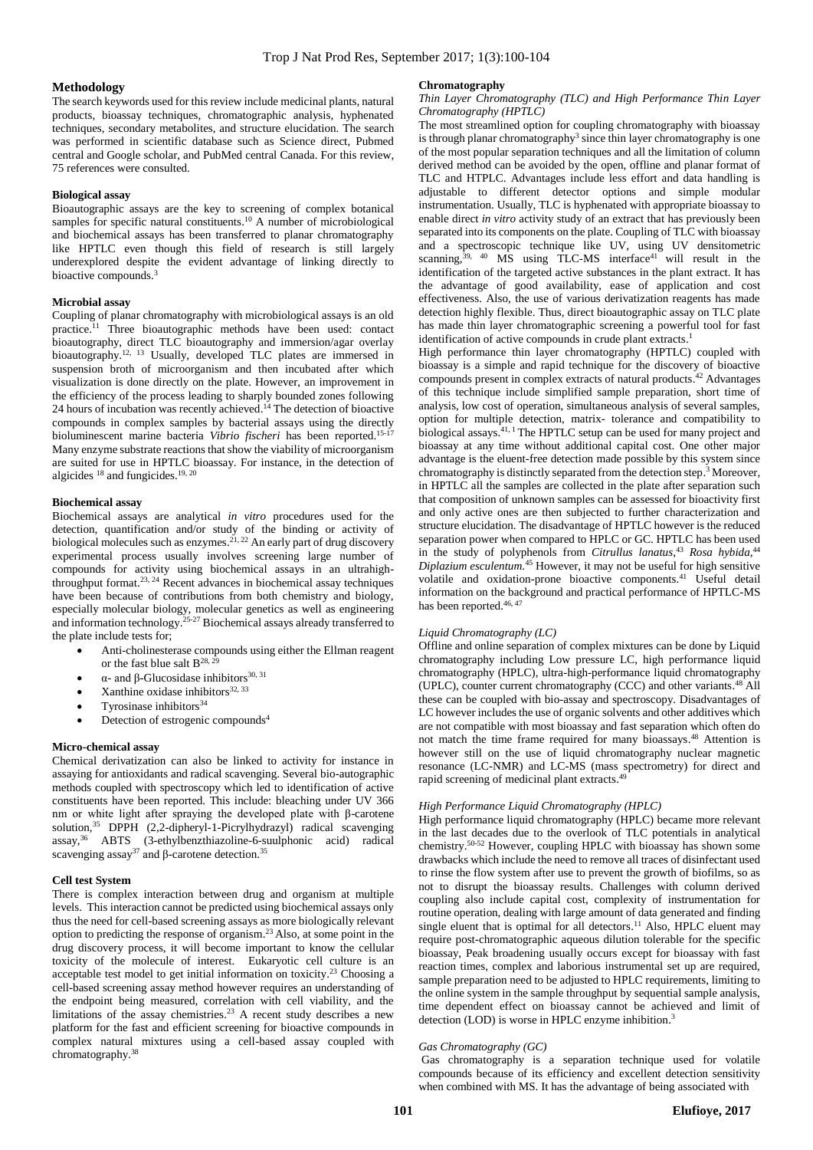#### **Methodology**

The search keywords used for this review include medicinal plants, natural products, bioassay techniques, chromatographic analysis, hyphenated techniques, secondary metabolites, and structure elucidation. The search was performed in scientific database such as Science direct, Pubmed central and Google scholar, and PubMed central Canada. For this review, 75 references were consulted.

#### **Biological assay**

Bioautographic assays are the key to screening of complex botanical samples for specific natural constituents.<sup>10</sup> A number of microbiological and biochemical assays has been transferred to planar chromatography like HPTLC even though this field of research is still largely underexplored despite the evident advantage of linking directly to bioactive compounds. 3

#### **Microbial assay**

Coupling of planar chromatography with microbiological assays is an old practice. <sup>11</sup> Three bioautographic methods have been used: contact bioautography, direct TLC bioautography and immersion/agar overlay bioautography.<sup>12, 13</sup> Usually, developed TLC plates are immersed in suspension broth of microorganism and then incubated after which visualization is done directly on the plate. However, an improvement in the efficiency of the process leading to sharply bounded zones following 24 hours of incubation was recently achieved. <sup>14</sup> The detection of bioactive compounds in complex samples by bacterial assays using the directly bioluminescent marine bacteria *Vibrio fischeri* has been reported. 15-17 Many enzyme substrate reactions that show the viability of microorganism are suited for use in HPTLC bioassay. For instance, in the detection of algicides  $^{18}$  and fungicides.  $^{19, 20}$ 

# **Biochemical assay**

Biochemical assays are analytical *in vitro* procedures used for the detection, quantification and/or study of the binding or activity of biological molecules such as enzymes.<sup>21, 22</sup> An early part of drug discovery experimental process usually involves screening large number of compounds for activity using biochemical assays in an ultrahighthroughput format. 23, 24 Recent advances in biochemical assay techniques have been because of contributions from both chemistry and biology, especially molecular biology, molecular genetics as well as engineering and information technology.<sup>25-27</sup> Biochemical assays already transferred to the plate include tests for;

- Anti-cholinesterase compounds using either the Ellman reagent or the fast blue salt  $B^{28, 25}$
- α- and β-Glucosidase inhibitors  $^{30,\,31}$
- Xanthine oxidase inhibitors<sup>32, 33</sup>
- Tyrosinase inhibitors $34$
- Detection of estrogenic compounds<sup>4</sup>

#### **Micro-chemical assay**

Chemical derivatization can also be linked to activity for instance in assaying for antioxidants and radical scavenging. Several bio-autographic methods coupled with spectroscopy which led to identification of active constituents have been reported. This include: bleaching under UV 366 nm or white light after spraying the developed plate with β-carotene solution,<sup>35</sup> DPPH (2,2-dipheryl-1-Picrylhydrazyl) radical scavenging assay, <sup>36</sup> ABTS (3-ethylbenzthiazoline-6-suulphonic acid) radical scavenging assay<sup>37</sup> and β-carotene detection.<sup>35</sup>

#### **Cell test System**

There is complex interaction between drug and organism at multiple levels. This interaction cannot be predicted using biochemical assays only thus the need for cell-based screening assays as more biologically relevant option to predicting the response of organism. <sup>23</sup>Also, at some point in the drug discovery process, it will become important to know the cellular toxicity of the molecule of interest. Eukaryotic cell culture is an acceptable test model to get initial information on toxicity. <sup>23</sup> Choosing a cell-based screening assay method however requires an understanding of the endpoint being measured, correlation with cell viability, and the limitations of the assay chemistries. <sup>23</sup> A recent study describes a new platform for the fast and efficient screening for bioactive compounds in complex natural mixtures using a cell-based assay coupled with chromatography. 38

#### **Chromatography**

### *Thin Layer Chromatography (TLC) and High Performance Thin Layer Chromatography (HPTLC)*

The most streamlined option for coupling chromatography with bioassay is through planar chromatography<sup>3</sup> since thin layer chromatography is one of the most popular separation techniques and all the limitation of column derived method can be avoided by the open, offline and planar format of TLC and HTPLC. Advantages include less effort and data handling is adjustable to different detector options and simple modular instrumentation. Usually, TLC is hyphenated with appropriate bioassay to enable direct *in vitro* activity study of an extract that has previously been separated into its components on the plate. Coupling of TLC with bioassay and a spectroscopic technique like UV, using UV densitometric scanning, $39, 40$  MS using TLC-MS interface $41^\circ$  will result in the identification of the targeted active substances in the plant extract. It has the advantage of good availability, ease of application and cost effectiveness. Also, the use of various derivatization reagents has made detection highly flexible. Thus, direct bioautographic assay on TLC plate has made thin layer chromatographic screening a powerful tool for fast identification of active compounds in crude plant extracts.<sup>1</sup>

High performance thin layer chromatography (HPTLC) coupled with bioassay is a simple and rapid technique for the discovery of bioactive compounds present in complex extracts of natural products. <sup>42</sup> Advantages of this technique include simplified sample preparation, short time of analysis, low cost of operation, simultaneous analysis of several samples, option for multiple detection, matrix- tolerance and compatibility to biological assays. 41, 1 The HPTLC setup can be used for many project and bioassay at any time without additional capital cost. One other major advantage is the eluent-free detection made possible by this system since chromatography is distinctly separated from the detection step. <sup>3</sup> Moreover, in HPTLC all the samples are collected in the plate after separation such that composition of unknown samples can be assessed for bioactivity first and only active ones are then subjected to further characterization and structure elucidation. The disadvantage of HPTLC however is the reduced separation power when compared to HPLC or GC. HPTLC has been used in the study of polyphenols from *Citrullus lanatus*,<sup>43</sup> Rosa hybida,<sup>44</sup> *Diplazium esculentum.* <sup>45</sup> However, it may not be useful for high sensitive volatile and oxidation-prone bioactive components. <sup>41</sup> Useful detail information on the background and practical performance of HPTLC-MS has been reported.<sup>46, 47</sup>

### *Liquid Chromatography (LC)*

Offline and online separation of complex mixtures can be done by Liquid chromatography including Low pressure LC, high performance liquid chromatography (HPLC), ultra-high-performance liquid chromatography (UPLC), counter current chromatography (CCC) and other variants. <sup>48</sup> All these can be coupled with bio-assay and spectroscopy. Disadvantages of LC however includes the use of organic solvents and other additives which are not compatible with most bioassay and fast separation which often do not match the time frame required for many bioassays. <sup>48</sup> Attention is however still on the use of liquid chromatography nuclear magnetic resonance (LC-NMR) and LC-MS (mass spectrometry) for direct and rapid screening of medicinal plant extracts.<sup>49</sup>

# *High Performance Liquid Chromatography (HPLC)*

High performance liquid chromatography (HPLC) became more relevant in the last decades due to the overlook of TLC potentials in analytical chemistry. 50-52 However, coupling HPLC with bioassay has shown some drawbacks which include the need to remove all traces of disinfectant used to rinse the flow system after use to prevent the growth of biofilms, so as not to disrupt the bioassay results. Challenges with column derived coupling also include capital cost, complexity of instrumentation for routine operation, dealing with large amount of data generated and finding single eluent that is optimal for all detectors.<sup>11</sup> Also, HPLC eluent may require post-chromatographic aqueous dilution tolerable for the specific bioassay, Peak broadening usually occurs except for bioassay with fast reaction times, complex and laborious instrumental set up are required, sample preparation need to be adjusted to HPLC requirements, limiting to the online system in the sample throughput by sequential sample analysis, time dependent effect on bioassay cannot be achieved and limit of detection (LOD) is worse in HPLC enzyme inhibition.<sup>3</sup>

#### *Gas Chromatography (GC)*

Gas chromatography is a separation technique used for volatile compounds because of its efficiency and excellent detection sensitivity when combined with MS. It has the advantage of being associated with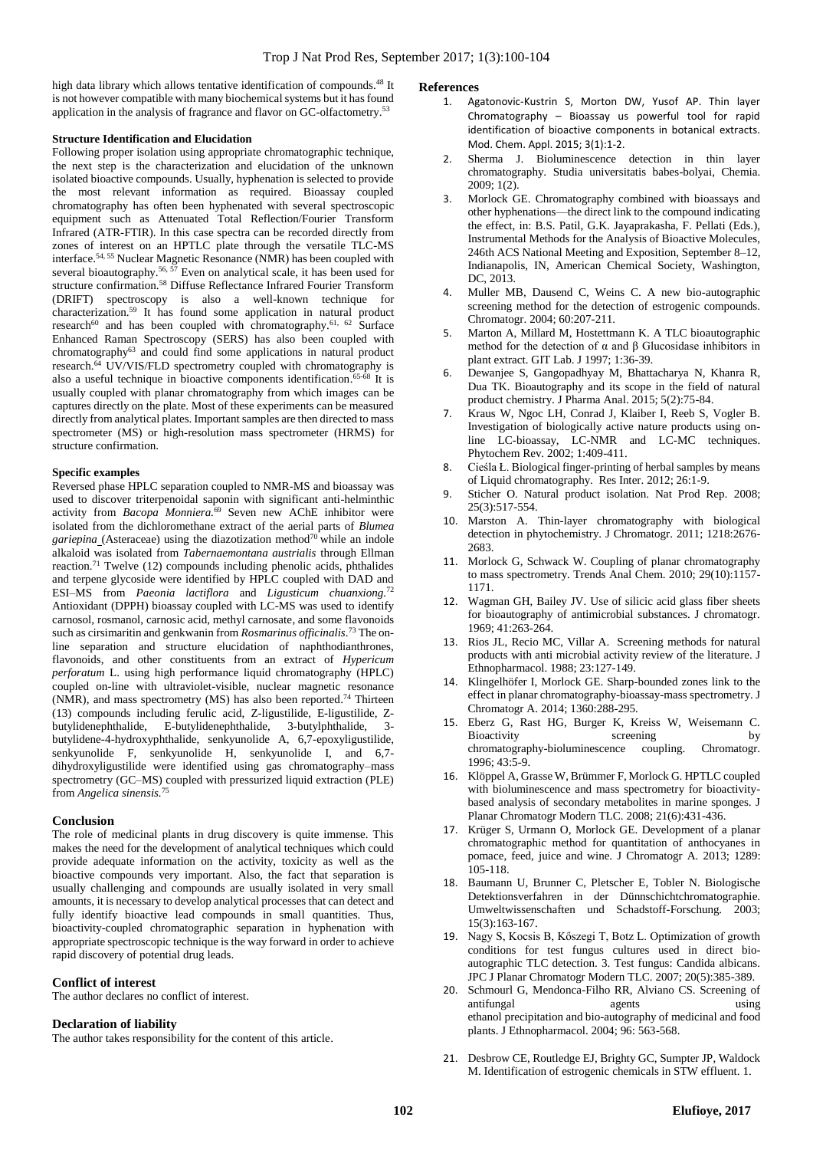high data library which allows tentative identification of compounds.<sup>48</sup> It is not however compatible with many biochemical systems but it has found application in the analysis of fragrance and flavor on GC-olfactometry.<sup>53</sup>

# **Structure Identification and Elucidation**

Following proper isolation using appropriate chromatographic technique, the next step is the characterization and elucidation of the unknown isolated bioactive compounds. Usually, hyphenation is selected to provide the most relevant information as required. Bioassay coupled chromatography has often been hyphenated with several spectroscopic equipment such as Attenuated Total Reflection/Fourier Transform Infrared (ATR-FTIR). In this case spectra can be recorded directly from zones of interest on an HPTLC plate through the versatile TLC-MS interface. 54, 55 Nuclear Magnetic Resonance (NMR) has been coupled with several bioautography.<sup>56, 57</sup> Even on analytical scale, it has been used for structure confirmation. <sup>58</sup> Diffuse Reflectance Infrared Fourier Transform (DRIFT) spectroscopy is also a well-known technique for characterization. <sup>59</sup> It has found some application in natural product research<sup>60</sup> and has been coupled with chromatography.<sup>61, 62</sup> Surface Enhanced Raman Spectroscopy (SERS) has also been coupled with chromatography<sup>63</sup> and could find some applications in natural product research. <sup>64</sup> UV/VIS/FLD spectrometry coupled with chromatography is also a useful technique in bioactive components identification. 65-68 It is usually coupled with planar chromatography from which images can be captures directly on the plate. Most of these experiments can be measured directly from analytical plates. Important samples are then directed to mass spectrometer (MS) or high-resolution mass spectrometer (HRMS) for structure confirmation.

# **Specific examples**

Reversed phase HPLC separation coupled to NMR-MS and bioassay was used to discover triterpenoidal saponin with significant anti-helminthic activity from *Bacopa Monniera.* <sup>69</sup> Seven new AChE inhibitor were isolated from the dichloromethane extract of the aerial parts of *Blumea gariepina* (Asteraceae) using the diazotization method<sup>70</sup> while an indole alkaloid was isolated from *Tabernaemontana austrialis* through Ellman reaction.<sup>71</sup> Twelve  $(12)$  compounds including phenolic acids, phthalides and terpene glycoside were identified by HPLC coupled with DAD and ESI–MS from *Paeonia lactiflora* and *Ligusticum chuanxiong.* 72 Antioxidant (DPPH) bioassay coupled with LC-MS was used to identify carnosol, rosmanol, carnosic acid, methyl carnosate, and some flavonoids such as cirsimaritin and genkwanin from *Rosmarinus officinalis*. <sup>73</sup> The online separation and structure elucidation of naphthodianthrones, flavonoids, and other constituents from an extract of *Hypericum perforatum* L. using high performance liquid chromatography (HPLC) coupled on-line with ultraviolet-visible, nuclear magnetic resonance (NMR), and mass spectrometry (MS) has also been reported. <sup>74</sup> Thirteen (13) compounds including ferulic acid, Z-ligustilide, E-ligustilide, Zbutylidenephthalide, E-butylidenephthalide, 3-butylphthalide, 3 butylidene-4-hydroxyphthalide, senkyunolide A, 6,7-epoxyligustilide, senkyunolide F, senkyunolide H, senkyunolide I, and 6,7dihydroxyligustilide were identified using gas chromatography–mass spectrometry (GC–MS) coupled with pressurized liquid extraction (PLE) from *Angelica sinensis.* 75

# **Conclusion**

The role of medicinal plants in drug discovery is quite immense. This makes the need for the development of analytical techniques which could provide adequate information on the activity, toxicity as well as the bioactive compounds very important. Also, the fact that separation is usually challenging and compounds are usually isolated in very small amounts, it is necessary to develop analytical processes that can detect and fully identify bioactive lead compounds in small quantities. Thus, bioactivity-coupled chromatographic separation in hyphenation with appropriate spectroscopic technique is the way forward in order to achieve rapid discovery of potential drug leads.

# **Conflict of interest**

The author declares no conflict of interest.

# **Declaration of liability**

The author takes responsibility for the content of this article.

# **References**

- 1. Agatonovic-Kustrin S, Morton DW, Yusof AP. Thin layer Chromatography – Bioassay us powerful tool for rapid identification of bioactive components in botanical extracts. Mod. Chem. Appl. 2015; 3(1):1-2.
- 2. Sherma J. Bioluminescence detection in thin layer chromatography. Studia universitatis babes-bolyai, Chemia. 2009; 1(2).
- 3. Morlock GE. Chromatography combined with bioassays and other hyphenations—the direct link to the compound indicating the effect, in: B.S. Patil, G.K. Jayaprakasha, F. Pellati (Eds.), Instrumental Methods for the Analysis of Bioactive Molecules, 246th ACS National Meeting and Exposition, September 8–12, Indianapolis, IN, American Chemical Society, Washington, DC, 2013.
- 4. Muller MB, Dausend C, Weins C. A new bio-autographic screening method for the detection of estrogenic compounds. Chromatogr. 2004; 60:207-211.
- 5. Marton A, Millard M, Hostettmann K. A TLC bioautographic method for the detection of α and β Glucosidase inhibitors in plant extract. GIT Lab. J 1997; 1:36-39.
- 6. Dewanjee S, Gangopadhyay M, Bhattacharya N, Khanra R, Dua TK. Bioautography and its scope in the field of natural product chemistry. J Pharma Anal. 2015; 5(2):75-84.
- 7. Kraus W, Ngoc LH, Conrad J, Klaiber I, Reeb S, Vogler B. Investigation of biologically active nature products using online LC-bioassay, LC-NMR and LC-MC techniques. Phytochem Rev. 2002; 1:409-411.
- Cieśla Ł. Biological finger-printing of herbal samples by means of Liquid chromatography. Res Inter. 2012; 26:1-9.
- 9. Sticher O. Natural product isolation. Nat Prod Rep*.* 2008; 25(3):517-554.
- 10. Marston A. Thin-layer chromatography with biological detection in phytochemistry. J Chromatogr. 2011; 1218:2676- 2683.
- 11. Morlock G, Schwack W. Coupling of planar chromatography to mass spectrometry. Trends Anal Chem. 2010; 29(10):1157- 1171.
- 12. Wagman GH, Bailey JV. Use of silicic acid glass fiber sheets for bioautography of antimicrobial substances. J chromatogr. 1969; 41:263-264.
- 13. Rios JL, Recio MC, Villar A. Screening methods for natural products with anti microbial activity review of the literature. J Ethnopharmacol. 1988; 23:127-149.
- 14. Klingelhöfer I, Morlock GE. Sharp-bounded zones link to the effect in planar chromatography-bioassay-mass spectrometry. J Chromatogr A. 2014; 1360:288-295.
- 15. Eberz G, Rast HG, Burger K, Kreiss W, Weisemann C. Bioactivity screening chromatography-bioluminescence coupling. Chromatogr. 1996; 43:5-9.
- 16. Klöppel A, Grasse W, Brümmer F, Morlock G. HPTLC coupled with bioluminescence and mass spectrometry for bioactivitybased analysis of secondary metabolites in marine sponges. J Planar Chromatogr Modern TLC. 2008; 21(6):431-436.
- 17. Krüger S, Urmann O, Morlock GE. Development of a planar chromatographic method for quantitation of anthocyanes in pomace, feed, juice and wine. J Chromatogr A. 2013; 1289: 105-118.
- 18. Baumann U, Brunner C, Pletscher E, Tobler N. Biologische Detektionsverfahren in der Dünnschichtchromatographie. Umweltwissenschaften und Schadstoff-Forschung. 2003; 15(3):163-167.
- 19. Nagy S, Kocsis B, Kőszegi T, Botz L. Optimization of growth conditions for test fungus cultures used in direct bioautographic TLC detection. 3. Test fungus: Candida albicans. JPC J Planar Chromatogr Modern TLC. 2007; 20(5):385-389.
- 20. Schmourl G, Mendonca-Filho RR, Alviano CS. Screening of antifungal agents using using ethanol precipitation and bio-autography of medicinal and food plants. J Ethnopharmacol. 2004; 96: 563-568.
- 21. Desbrow CE, Routledge EJ, Brighty GC, Sumpter JP, Waldock M. Identification of estrogenic chemicals in STW effluent. 1.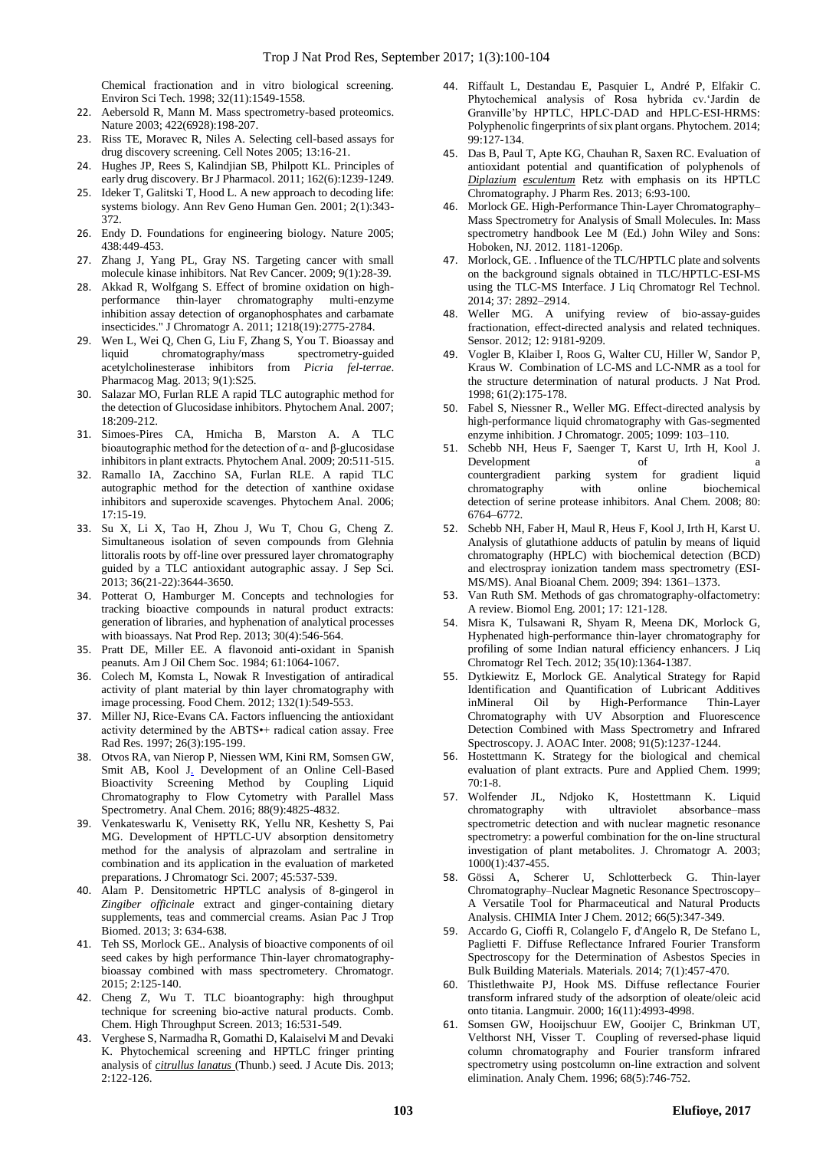Chemical fractionation and in vitro biological screening. Environ Sci Tech. 1998; 32(11):1549-1558.

- 22. Aebersold R, Mann M. Mass spectrometry-based proteomics. Nature 2003; 422(6928):198-207.
- 23. Riss TE, Moravec R, Niles A. Selecting cell-based assays for drug discovery screening. Cell Notes 2005; 13:16-21.
- 24. Hughes JP, Rees S, Kalindjian SB, Philpott KL. Principles of early drug discovery. Br J Pharmacol. 2011; 162(6):1239-1249.
- 25. Ideker T, Galitski T, Hood L. A new approach to decoding life: systems biology. Ann Rev Geno Human Gen. 2001; 2(1):343- 372.
- 26. Endy D. Foundations for engineering biology. Nature 2005; 438:449-453.
- 27. Zhang J, Yang PL, Gray NS. Targeting cancer with small molecule kinase inhibitors. Nat Rev Cancer. 2009; 9(1):28-39.
- 28. Akkad R, Wolfgang S. Effect of bromine oxidation on highperformance thin-layer chromatography multi-enzyme inhibition assay detection of organophosphates and carbamate insecticides." J Chromatogr A. 2011; 1218(19):2775-2784.
- 29. Wen L, Wei Q, Chen G, Liu F, Zhang S, You T. Bioassay and liquid chromatography/mass spectrometry-guided acetylcholinesterase inhibitors from *Picria fel-terrae*. Pharmacog Mag. 2013; 9(1):S25.
- 30. Salazar MO, Furlan RLE A rapid TLC autographic method for the detection of Glucosidase inhibitors. Phytochem Anal. 2007; 18:209-212.
- 31. Simoes-Pires CA, Hmicha B, Marston A. A TLC bioautographic method for the detection of α- and β-glucosidase inhibitors in plant extracts. Phytochem Anal. 2009; 20:511-515.
- 32. Ramallo IA, Zacchino SA, Furlan RLE. A rapid TLC autographic method for the detection of xanthine oxidase inhibitors and superoxide scavenges. Phytochem Anal. 2006; 17:15-19.
- 33. Su X, Li X, Tao H, Zhou J, Wu T, Chou G, Cheng Z. Simultaneous isolation of seven compounds from Glehnia littoralis roots by off‐line over pressured layer chromatography guided by a TLC antioxidant autographic assay. J Sep Sci. 2013; 36(21-22):3644-3650.
- 34. Potterat O, Hamburger M. Concepts and technologies for tracking bioactive compounds in natural product extracts: generation of libraries, and hyphenation of analytical processes with bioassays. Nat Prod Rep. 2013; 30(4):546-564.
- 35. Pratt DE, Miller EE. A flavonoid anti-oxidant in Spanish peanuts. Am J Oil Chem Soc. 1984; 61:1064-1067.
- 36. Colech M, Komsta L, Nowak R Investigation of antiradical activity of plant material by thin layer chromatography with image processing. Food Chem. 2012; 132(1):549-553.
- 37. Miller NJ, Rice-Evans CA. Factors influencing the antioxidant activity determined by the ABTS•+ radical cation assay. Free Rad Res. 1997; 26(3):195-199.
- 38. Otvos RA, van Nierop P, Niessen WM, Kini RM, Somsen GW, Smit AB, Kool J. Development of an Online Cell-Based Bioactivity Screening Method by Coupling Liquid Chromatography to Flow Cytometry with Parallel Mass Spectrometry. Anal Chem. 2016; 88(9):4825-4832.
- 39. Venkateswarlu K, Venisetty RK, Yellu NR, Keshetty S, Pai MG. Development of HPTLC-UV absorption densitometry method for the analysis of alprazolam and sertraline in combination and its application in the evaluation of marketed preparations. J Chromatogr Sci. 2007; 45:537-539.
- 40. Alam P. Densitometric HPTLC analysis of 8-gingerol in *Zingiber officinale* extract and ginger-containing dietary supplements, teas and commercial creams. Asian Pac J Trop Biomed. 2013; 3: 634-638.
- 41. Teh SS, Morlock GE.. Analysis of bioactive components of oil seed cakes by high performance Thin-layer chromatographybioassay combined with mass spectrometery. Chromatogr. 2015; 2:125-140.
- 42. Cheng Z, Wu T. TLC bioantography: high throughput technique for screening bio-active natural products. Comb. Chem. High Throughput Screen. 2013; 16:531-549.
- 43. Verghese S, Narmadha R, Gomathi D, Kalaiselvi M and Devaki K. Phytochemical screening and HPTLC fringer printing analysis of *citrullus lanatus* (Thunb.) seed. J Acute Dis. 2013; 2:122-126.
- 44. Riffault L, Destandau E, Pasquier L, André P, Elfakir C. Phytochemical analysis of Rosa hybrida cv.'Jardin de Granville'by HPTLC, HPLC-DAD and HPLC-ESI-HRMS: Polyphenolic fingerprints of six plant organs. Phytochem. 2014; 99:127-134.
- 45. Das B, Paul T, Apte KG, Chauhan R, Saxen RC. Evaluation of antioxidant potential and quantification of polyphenols of *Diplazium esculentum* Retz with emphasis on its HPTLC Chromatography. J Pharm Res. 2013; 6:93-100.
- 46. Morlock GE. High‐Performance Thin‐Layer Chromatography– Mass Spectrometry for Analysis of Small Molecules. In: Mass spectrometry handbook Lee M (Ed.) John Wiley and Sons: Hoboken, NJ. 2012. 1181-1206p.
- 47. Morlock, GE. . Influence of the TLC/HPTLC plate and solvents on the background signals obtained in TLC/HPTLC-ESI-MS using the TLC-MS Interface. J Liq Chromatogr Rel Technol*.*  2014; 37: 2892–2914.
- 48. Weller MG. A unifying review of bio-assay-guides fractionation, effect-directed analysis and related techniques. Sensor. 2012; 12: 9181-9209.
- 49. Vogler B, Klaiber I, Roos G, Walter CU, Hiller W, Sandor P, Kraus W. Combination of LC-MS and LC-NMR as a tool for the structure determination of natural products. J Nat Prod. 1998; 61(2):175-178.
- 50. Fabel S, Niessner R., Weller MG. Effect-directed analysis by high-performance liquid chromatography with Gas-segmented enzyme inhibition. J Chromatogr. 2005; 1099: 103–110.
- 51. Schebb NH, Heus F, Saenger T, Karst U, Irth H, Kool J. Development of a countergradient parking system for gradient liquid chromatography with online biochemical detection of serine protease inhibitors. Anal Chem*.* 2008; 80: 6764–6772.
- 52. Schebb NH, Faber H, Maul R, Heus F, Kool J, Irth H, Karst U. Analysis of glutathione adducts of patulin by means of liquid chromatography (HPLC) with biochemical detection (BCD) and electrospray ionization tandem mass spectrometry (ESI-MS/MS). Anal Bioanal Chem*.* 2009; 394: 1361–1373.
- 53. Van Ruth SM. Methods of gas chromatography-olfactometry: A review. Biomol Eng*.* 2001; 17: 121-128.
- 54. Misra K, Tulsawani R, Shyam R, Meena DK, Morlock G, Hyphenated high-performance thin-layer chromatography for profiling of some Indian natural efficiency enhancers. J Liq Chromatogr Rel Tech. 2012; 35(10):1364-1387.
- 55. Dytkiewitz E, Morlock GE. Analytical Strategy for Rapid Identification and Quantification of Lubricant Additives inMineral Oil by High-Performance Thin-Layer Chromatography with UV Absorption and Fluorescence Detection Combined with Mass Spectrometry and Infrared Spectroscopy. J. AOAC Inter. 2008; 91(5):1237-1244.
- 56. Hostettmann K. Strategy for the biological and chemical evaluation of plant extracts. Pure and Applied Chem. 1999; 70:1-8.
- 57. Wolfender JL, Ndjoko K, Hostettmann K. Liquid chromatography with ultraviolet absorbance–mass spectrometric detection and with nuclear magnetic resonance spectrometry: a powerful combination for the on-line structural investigation of plant metabolites. J. Chromatogr A*.* 2003; 1000(1):437-455.
- 58. Gössi A, Scherer U, Schlotterbeck G. Thin-layer Chromatography–Nuclear Magnetic Resonance Spectroscopy– A Versatile Tool for Pharmaceutical and Natural Products Analysis. CHIMIA Inter J Chem. 2012; 66(5):347-349.
- 59. Accardo G, Cioffi R, Colangelo F, d'Angelo R, De Stefano L, Paglietti F. Diffuse Reflectance Infrared Fourier Transform Spectroscopy for the Determination of Asbestos Species in Bulk Building Materials. Materials. 2014; 7(1):457-470.
- 60. Thistlethwaite PJ, Hook MS. Diffuse reflectance Fourier transform infrared study of the adsorption of oleate/oleic acid onto titania. Langmuir*.* 2000; 16(11):4993-4998.
- 61. Somsen GW, Hooijschuur EW, Gooijer C, Brinkman UT, Velthorst NH, Visser T. Coupling of reversed-phase liquid column chromatography and Fourier transform infrared spectrometry using postcolumn on-line extraction and solvent elimination. Analy Chem. 1996; 68(5):746-752.